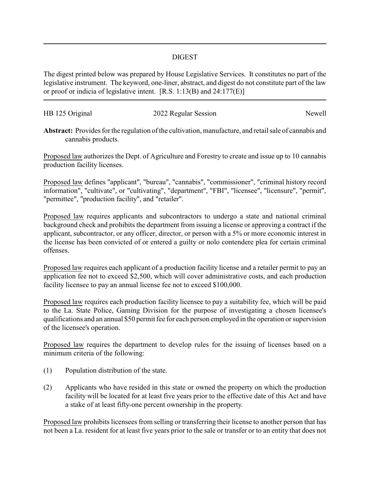## DIGEST

The digest printed below was prepared by House Legislative Services. It constitutes no part of the legislative instrument. The keyword, one-liner, abstract, and digest do not constitute part of the law or proof or indicia of legislative intent. [R.S. 1:13(B) and 24:177(E)]

| HB 125 Original | 2022 Regular Session | Newell |
|-----------------|----------------------|--------|

**Abstract:** Provides for the regulation of the cultivation, manufacture, and retail sale of cannabis and cannabis products.

Proposed law authorizes the Dept. of Agriculture and Forestry to create and issue up to 10 cannabis production facility licenses.

Proposed law defines "applicant", "bureau", "cannabis", "commissioner", "criminal history record information", "cultivate", or "cultivating", "department", "FBI", "licensee", "licensure", "permit", "permittee", "production facility", and "retailer".

Proposed law requires applicants and subcontractors to undergo a state and national criminal background check and prohibits the department from issuing a license or approving a contract if the applicant, subcontractor, or any officer, director, or person with a 5% or more economic interest in the license has been convicted of or entered a guilty or nolo contendere plea for certain criminal offenses.

Proposed law requires each applicant of a production facility license and a retailer permit to pay an application fee not to exceed \$2,500, which will cover administrative costs, and each production facility licensee to pay an annual license fee not to exceed \$100,000.

Proposed law requires each production facility licensee to pay a suitability fee, which will be paid to the La. State Police, Gaming Division for the purpose of investigating a chosen licensee's qualifications and an annual \$50 permit fee for each person employed in the operation or supervision of the licensee's operation.

Proposed law requires the department to develop rules for the issuing of licenses based on a minimum criteria of the following:

- (1) Population distribution of the state.
- (2) Applicants who have resided in this state or owned the property on which the production facility will be located for at least five years prior to the effective date of this Act and have a stake of at least fifty-one percent ownership in the property.

Proposed law prohibits licensees from selling or transferring their license to another person that has not been a La. resident for at least five years prior to the sale or transfer or to an entity that does not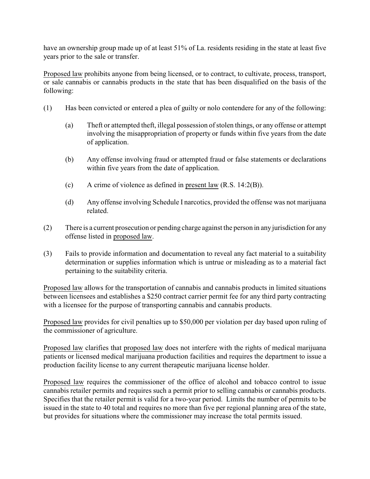have an ownership group made up of at least 51% of La. residents residing in the state at least five years prior to the sale or transfer.

Proposed law prohibits anyone from being licensed, or to contract, to cultivate, process, transport, or sale cannabis or cannabis products in the state that has been disqualified on the basis of the following:

- (1) Has been convicted or entered a plea of guilty or nolo contendere for any of the following:
	- (a) Theft or attempted theft, illegal possession of stolen things, or any offense or attempt involving the misappropriation of property or funds within five years from the date of application.
	- (b) Any offense involving fraud or attempted fraud or false statements or declarations within five years from the date of application.
	- (c) A crime of violence as defined in present law (R.S. 14:2(B)).
	- (d) Any offense involving Schedule I narcotics, provided the offense was not marijuana related.
- (2) There is a current prosecution or pending charge against the person in any jurisdiction for any offense listed in proposed law.
- (3) Fails to provide information and documentation to reveal any fact material to a suitability determination or supplies information which is untrue or misleading as to a material fact pertaining to the suitability criteria.

Proposed law allows for the transportation of cannabis and cannabis products in limited situations between licensees and establishes a \$250 contract carrier permit fee for any third party contracting with a licensee for the purpose of transporting cannabis and cannabis products.

Proposed law provides for civil penalties up to \$50,000 per violation per day based upon ruling of the commissioner of agriculture.

Proposed law clarifies that proposed law does not interfere with the rights of medical marijuana patients or licensed medical marijuana production facilities and requires the department to issue a production facility license to any current therapeutic marijuana license holder.

Proposed law requires the commissioner of the office of alcohol and tobacco control to issue cannabis retailer permits and requires such a permit prior to selling cannabis or cannabis products. Specifies that the retailer permit is valid for a two-year period. Limits the number of permits to be issued in the state to 40 total and requires no more than five per regional planning area of the state, but provides for situations where the commissioner may increase the total permits issued.